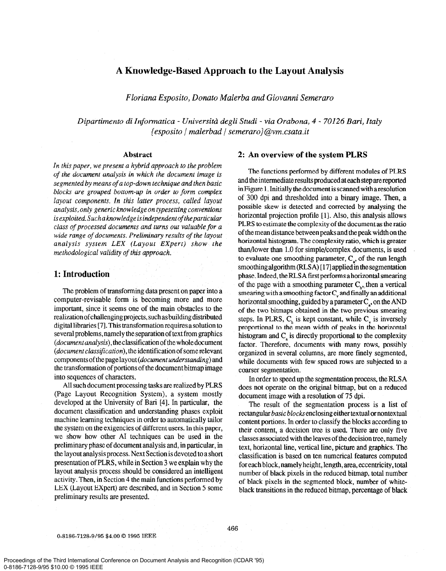# A Knowledge-Based Approach to the Layout Analysis

Floriana Esposito, Donato Malerba and Giovanni Semeraro

Dipartimento di Informatica - Universitd degli Studi - via Orabona, 4 - 70126 Bari, Italy  $\{esposito \mid malerbad \mid semeraro\}$ @vm.csata.it

#### Abstract

In this paper, we present a hybrid approach to the problem of the document analysis in which the document image is segmented by means of a top-down technique and then basic blocks are grouped bottom-up in order to form complex layout components. In this latter process, called layout analysis,only generic knowledge on typesetting conventions is exploited. Sucha knowledge is independent of the particular class of processed documents and turns out valuable for a wide range of documents. Preliminary results of the layout analysis system LEX (Layout Expert) show the methodological validity of this approach.

## 1: Introduction

The problem of transforming data present on paper into a computer-revisable form is becoming more and more important, since it seems one of the main obstacles to the realization of challenging projects, such as building distributed digital libraries [7]. This transformation requiresa solution to several problems, namely the separation of text from graphics  $(document analysis)$ , the classification of the whole document  $(document classification)$ , the identification of some relevant components of the page layout (document understanding) and the transformation of portions of the documentbitmap image into sequences of characters.

All such document processing tasks are realized by PLRS (Page Layout Recognition System), a system mostly developed at the University of Bari [4]. In particular, the document classification and understanding phases exploit machine learning techniques in order to automatically tailor the system on the exigencies of different users. In this paper, we show how other AI techniques can be used in the preliminary phase of document analysis and, in particular, in the layout analysis process. Next Section is devoted to a short presentation of PLRS, while in Section 3 we explain why the layout analysis process should be considered an intelligent activity. Then, in Section 4 the main functions performed by LEX (Layout Expert) are described, and in Section 5 some preliminary results are presented.

## 2: An overview of the system PLRS

The functions performed by different modules of PLRS and the intermediate results produced at each step arereported in Figure 1. Initially the document is scanned with a resolution of 300 dpi and thresholded into a binary image. Then, a possible skew is detected and corrected by analysing the horizontal projection profile [1]. Also, this analysis allows PLRS to estimate the complexity of the document as the ratio of the mean distance between peaks and the peak width on the horizontal histogram. The complexity ratio, which is greater than/lower than 1.0 for simple/complex documents, is used to evaluate one smoothing parameter,  $C_a$ , of the run length smoothing algorithm (RLSA) [17] applied in the segmentation phase. Indeed, the RLSA first performs a horizontal smearing of the page with a smoothing parameter  $C_{t}$ , then a vertical smearing with a smoothing factor  $C_{v}$  and finally an additional horizontal smoothing, guided by a parameter  $C_a$ , on the AND of the two bitmaps obtained in the two previous smearing steps. In PLRS,  $C<sub>b</sub>$  is kept constant, while  $C<sub>c</sub>$  is inversely proportional to the mean width of peaks in the horizontal histogram and  $C_a$  is directly proportional to the complexity factor. Therefore, documents with many rows, possibly organized in several columns, are more finely segmented, while documents with few spaced rows are subjected to a coarser segmentation.

In order to speed up the segmentation process, the RLSA does not operate on the original bitmap, but on a reduced document image with a resolution of 75 dpi.

The result of the segmentation process is a list of rectangular basic blocks enclosing either textual or nontextual content portions. In order to classify the blocks according to their content, a decision tree is used. There are only five classes associated with the leaves of the decision tree, namely text, horizontal line, vertical line, picture and graphics. The classification is based on ten numerical features computed for each block, namely height, length, area, eccentricity, total number of black pixels in the reduced bitmap, total number of black pixels in the segmented block, number of whiteblack transitions in the reduced bitmap, percentage of black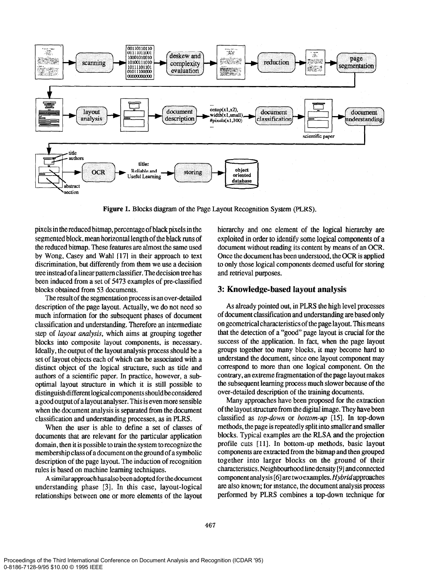

Figure 1. Blocks diagram of the Page Layout Recognition System (PLRS).

pixels in the reduced bitmap, percentage of black pixels in the segmented block, mean horizontal length of the black runs of the reduced bitmap. These features are almost the same used by Wong, Casey and Wahl  $[17]$  in their approach to text discrimination, but differently from them we use a decision tree instead of a linear pattern classifier. The decision tree has been induced from a set of 5473 examples of pre-classified blocks obtained from 53 documents.

The result of the segmentation process is an over-detailed description of the page layout. Actually, we do not need so much information for the subsequent phases of document classification and understanding. Therefore an intermediate step of layout analysis, which aims at grouping together blocks into composite layout components, is necessary. Ideally, the output of the layout analysis process should be a set of layout objects each of which can be associated with a distinct object of the logical structure, such as title and authors of a scientific paper. In practice, however, a suboptimal layout structure in which it is still possible to distinguish different logical components should be considered a good output of a layout analyser. This is even more sensible when the document analysis is separated from the document classification and understanding processes, as in PLRS.

When the user is able to define a set of classes of documents that are relevant for the particular application domain, then it is possible to train the system to recognize the membership class of a document on the ground of a symbolic description of the page layout. The induction of recognition rules is based on machine learning techniques.

A similar approach has also been adopted for the document understanding phase [3]. In this case, layout-logical relationships between one or more elements of the layout hierarchy and one element of the logical hierarchy are exploited in order to identify some logical components of a document without reading its content by means of an OCR. Once the document has been understood, the OCR is applied to only those logical components deemed useful for storing and retrieval purposes.

## 3: Knowledge-based layout analysis

As already pointed out, in PLRS the high level processes of document classification and understanding are based only on geometrical characteristics of the page layout. This means that the detection of a "good" page layout is crucial for the success of the application. In fact, when the page layout groups together too many blocks, it may become hard to understand the document, since one layout component may correspond to more than one logical component. On the contrary, an extreme fragmentation of the page layout makes the subsequent learning process much slower because of the over-detailed description of the training documents.

Many approaches have been proposed for the extraction of the layout structure from the digital image. They have been classified as top-down or bottom-up [15]. In top-down methods, the page is repeatedly split into smaller and smaller blocks. Typical examples are the RLSA and the projection profile cuts [11]. In bottom-up methods, basic layout components are extracted from the bitmap and then grouped together into larger blocks on the ground of their characteristics. Neighbourhoodlinedensity [9] andconnected component analysis [6] are two examples. Hybridapproaches are also known; for instance, the document analysis process performed by PLRS combines a top-down technique for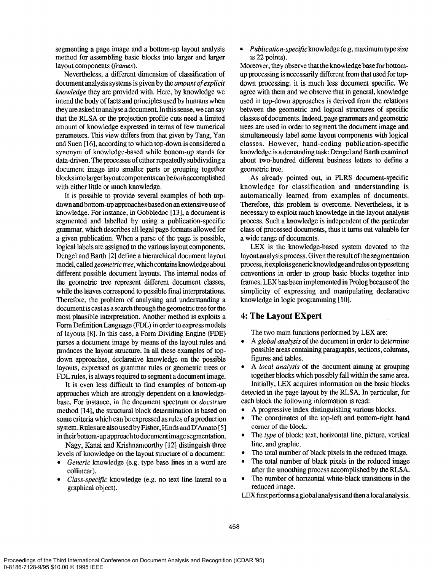segmenting a page image and a bottom-up layout analysis method for assembling basic blocks into larger and larger layout components (frames).

Nevertheless, a different dimension of classification of document analysis systems is given by the amount of explicit knowledge they are provided with. Here, by knowledge we intend the body of facts and principles used by humans when they are asked to analyse a document. In this sense, we can say that the RLSA or the projection profile cuts need a limited amount of knowledge expressed in terms of few numerical parameters. This view differs from that given by Tang, Yan and Suen [ 161, according to which top-down is considered a synonym of knowledge-based while bottom-up stands for data-driven. The processes of either repeatedly subdividing a document image into smaller parts or grouping together blocks into larger layout components can be bo th accomplished with either little or much knowledge.

It is possible to provide several examples of both topdown and bottom-up approaches basedon an extensive use of knowledge. For instance, in Gobbledoc [13], a document is segmented and labelled by using a publication-specific grammar, which describes all legal page formats allowed for a given publication. When a parse of the page is possible, logical labels are assigned to the various layout components. Dengel and Barth [2] define a hierarchical document layout model, called *geometric tree*, which contains knowledge about different possible document layouts. The internal nodes of the geometric tree represent different document classes, while the leaves correspond to possible final interpretations. Therefore, the problem of analysing and understanding a document is cast as a search through the geometric tree for the most plausible interpretation. Another method is exploits a Form Definition Language (FDL) in order to express models of layouts  $[8]$ . In this case, a Form Dividing Engine  $(FDE)$ parses a document image by means of the layout rules and produces the layout structure. In all these examples of topdown approaches, declarative knowledge on the possible layouts, expressed as grammar rules or geometric trees or FDL rules, is always required to segment a document image.

It is even less difficult to find examples of bottom-up approaches which are strongly dependent on a knowledgebase. For instance, in the document spectrum or docstrum method [14], the structural block determination is based on some criteria which can be expressed as rules of a production system. Rules are also used by Fisher, Hinds and D'Amato [5] in their bottom-up approach to document image segmentation.

Nagy, Kanai and Krishnamoorthy [12] distinguish three levels of knowledge on the layout structure of a document:

- Generic knowledge (e.g. type base lines in a word are collinear).
- Class-specific knowledge (e.g. no text line lateral to a graphical object).

## • Publication-specific knowledge (e.g. maximum type size is 22 points).

Moreover, they observe that the knowledge base for bottomup processing is necessarily different from that used for topdown processing: it is much less document specific. We agree with them and we observe that in general, knowledge used in top-down approaches is derived from the relations between the geometric and logical structures of specific classes of documents. Indeed, page grammars and geometric trees are used in order to segment the document image and simultaneously label some layout components with logical classes. However, hand-coding publication-specific knowledge is a demanding task: Dengel and Barth examined about two-hundred different business letters to define a geometric tree.

As already pointed out, in PLRS document-specific knowledge for classification and understanding is automatically learned from examples of documents. Therefore, this problem is overcome. Nevertheless, it is necessary to exploit much knowledge in the layout analysis process. Such a knowledge is independent of the particular class of processed documents, thus it turns out valuable for a wide range of documents.

LEX is the knowledge-based system devoted to the layout analysis process. Given the result of the segmentation process, itexploitsgenericknowledgeandmlesontypesetting conventions in order to group basic blocks together into frames. LEX has been implemented in Prolog because of the simplicity of expressing and manipulating declarative knowledge in logic programming [10].

## 4: The Layout Expert

The two main functions performed by LEX are:

- A global analysis of the document in order to determine possible areas containing paragraphs, sections, columns, figures and tables.
- A local analysis of the document aiming at grouping together blocks which possibly fall within the same area. Initially, LEX acquires information on the basic blocks detected in the page layout by the RLSA. In particular, for
- each block the following information is read: l A progressive index distinguishing various blocks.
- The coordinates of the top-left and bottom-right hand comer of the block.
- The type of block: text, horizontal line, picture, vertical line, and graphic.
- The total number of black pixels in the reduced image.
- The total number of black pixels in the reduced image after the smoothing process accomplished by the RLSA.
- The number of horizontal white-black transitions in the reduced image.

LEX first performs a global analysis and then a local analysis.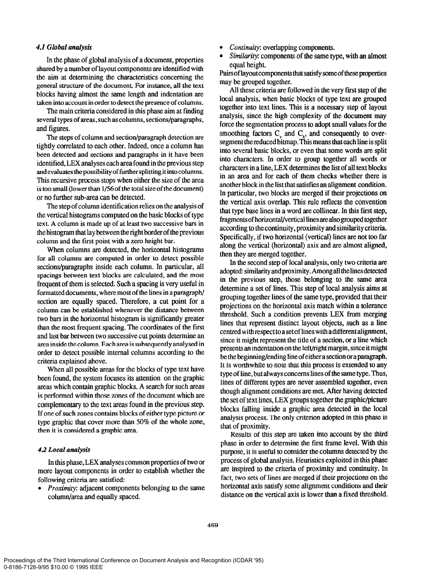#### 4.1 Global analysis

In the phase of global analysis of a document, properties shared by a number of layout components are identified with the aim at determining the characteristics concerning the general structure of the document. For instance, all the text blocks having almost the same length and indentation are taken into account in order to detect the presence of columns.

The main criteria considered in this phase aim at finding several types of areas, such ascolumns, sections/paragraphs, and figures.

The steps of column and section/paragraph detection are tightly correlated to each other. Indeed, once a column has been detected and sections and paragraphs in it have been identified,LEX analyses each area found in the previous step and evaluates the possibility of further splitting it into columns. This recursive process stops when either the size of the area is too small (lower than 1/56of the total size of the document) or no further sub-area can be detected.

The step of column identification relies on the analysis of the vertical histograms computed on the basic blocks of type text. A column is made up of at least two successive bars in the histogram that lay between the right border of the previous column and the first point with a zero height bar.

When columns are detected, the horizontal histograms for all columns are computed in order to detect possible sections/paragraphs inside each column. In particular, all spacings between text blocks are calculated, and the most frequent of them is selected. Such a spacing is very useful in formatted documents, where most of the lines in a paragraph/ section are equally spaced. Therefore, a cut point for a column can be established whenever the distance between two bars in the horizontal histogram is significantly greater than the most frequent spacing. The coordinates of the first and last bar between two successive cut points determine an area inside the column. Each area is subsequently analysed in order to detect possible internal columns according to the criteria explained above.

When all possible areas for the blocks of type text have been found, the system focuses its attention on the graphic areas which contain graphic blocks. A search for such areas is performed within those zones of the document which are complementary to the text areas found in the previous step. If one of such zones contains blocks of either type picture or type graphic that cover more than 50% of the whole zone, then it is considered a graphic area.

## 4.2 Local analysis

In this phase, LEX analyses common properties of two or more layout components in order to establish whether the following criteria are satisfied:

*Proximity:* adjacent components belonging to the same column/area and equally spaced.

- Continuity: overlapping components.
- Similarity: components of the same type, with an almost equal height.

Pairs of layout components that satisfy some of these properties may be grouped together.

All these criteria are followed in the very first step of the local analysis, when basic blocks of type text are grouped together into text lines. This is a necessary step of layout analysis, since the high complexity of the document may force the segmentation process to adopt small values for the smoothing factors  $C_{v}$  and  $C_{v}$ , and consequently to oversegment the reduced bitmap. This means that each line is split into several basic blocks, or even that some words are split into characters. In order to group together all words or characters in a line, LEX determines the list of all text blocks in an area and for each of them checks whether there is another block in the list that satisfies an alignment condition. In particular, two blocks are merged if their projections on the vertical axis overlap. This rule reflects the convention that type base lines in a ward are collinear. In this first step, fragmentsofhorizontal/verticallinesateaIsogroupedtogether according to the continuity, proximity and similarity criteria. Specifically, if two horizontal (vertical) lines are not too far along the vertical (horizontal) axis and are almost aligned, then they are merged together.

In the second step of local analysis, only two criteria are adopted: similarity and proximity. Among all the lines detected in the previous step, those belonging to the same area determine a set of lines. This step of local analysis aims at grouping together lines of the same type, provided that their projections on the horizontal axis match within a tolerance threshold. Such a condition prevents LEX from merging lines that represent distinct layout objects, such as a line centred with respect to a set of lines with adifferent alignment, since it might represent the title of a section, or a line which presents an indentation on the left/right margin, since it might be the beginning/ending line of either a set tion or a paragraph. It is worthwhile to note that this process is extended to any type of line, but always concerns lines of the same type. Thus, lines of different types are never assembled together, even though alignment conditions are met. After having detected the set of text lines, LEX groups together the graphic/picture blocks falling inside a graphic area detected in the local analysis process. The only criterion adopted in this phase is that of proximity.

Results of this step are taken into account by the third phase in order to determine the first frame level. With this purpose, it is useful to consider the columns detected by the process of global analysis. Heuristics exploited in this phase are inspired to the criteria of proximity and continuity. In fact, two sets of lines are merged if their projections on the horizontal axis satisfy some alignment conditions and their distance on the vertical axis is lower than a fixed threshold.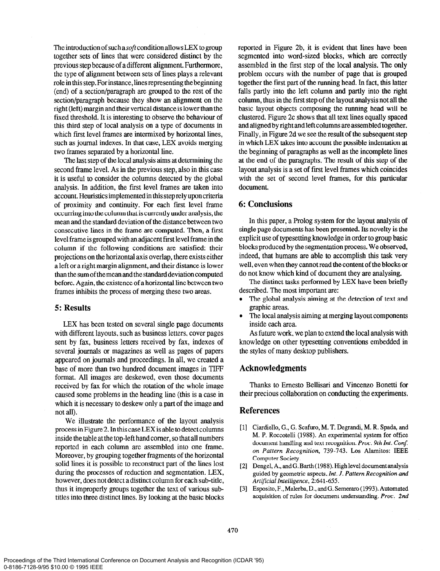The introduction of such a *soft* condition allows LEX to group together sets of lines that were considered distinct by the previous step because of a different alignment. Furthermore, the type of alignment between sets of lines plays a relevant role in this step. For instance, lines representing the beginning (end) of a section/paragraph are grouped to the rest of the section/paragraph because they show an alignment on the right (left) margin and their vertical distance is lower than the fixed threshold. It is interesting to observe the behaviour of this third step of local analysis on a type of documents in which first level frames are intermixed by horizontal lines, such as journal indexes. In that case, LEX avoids merging two frames separated by a horizontal line.

The last step of the local analysis aims at determining the second frame level. As in the previous step, also in this case it is useful to consider the columns detected by the global analysis. In addition, the first level frames are taken into account. Heuristics implemented in this step rely upon criteria of proximity and continuity. For each first level frame occurring into the column that is currently under analysis, the mean and the standard deviation of the distance between two consecutive lines in the frame are computed. Then, a first level frame is grouped with an adjacent first level frame in the column if the following conditions are satisfied: their projections on the horizontal axis overlap, there exists either a left or a right margin alignment, and their distance is lower than the sum of the mean and the standard deviation computed before. Again, the existence of a horizontal line between two frames inhibits the process of merging these two areas.

## 5: Results

LEX has been tested on several single page documents with different layouts, such as business letters, cover pages sent by fax, business letters received by fax, indexes of several journals or magazines as well as pages of papers appeared on journals and proceedings. In all, we created a base of more than two hundred document images in TIFF format. All images are deskewed, even those documents received by fax for which the rotation of the whole image caused some problems in the heading line (this is a case in which it is necessary to deskew only a part of the image and not all).

We illustrate the performance of the layout analysis process in Figure 2. In this case LEX is able to detect columns inside the table at the top-left hand comer, so that all numbers reported in each column are assembled into one frame. Moreover, by grouping together fragments of the horizontal solid lines it is possible to reconstruct part of the lines lost during the processes of reduction and segmentation. LEX, however, does not detect a distinct column for each sub-title, thus it improperly groups together the text of various subtitles into three distinct lines. By looking at the basic blocks reported in Figure 2b, it is evident that lines have been segmented into word-sized blocks, which are correctly assembled in the first step of the local analysis. The only problem occurs with the number of page that is grouped together the first part of the running head. In fact, this latter falls partly into the left column and partly into the right column, thus in the first step of the layout analysis not all the basic layout objects composing the running head will be clustered. Figure 2c shows that all text lines equally spaced and aligned by right and left columns are assembled together. Finally, in Figure 2d we see the result of the subsequent step in which LEX takes into account the possible indentation at the beginning of paragraphs as well as the incomplete lines at the end of the paragraphs. The result of this step of the layout analysis is a set of first level frames which coincides with the set of second level frames, for this particular document.

## 6: Conclusions

In this paper, a Prolog system for the layout analysis of single page documents has been presented. Its novelty is the explicit use of typesetting knowledge in order to group basic blocks produced by the segmentation process. We observed, indeed, that humans are able to accomplish this task very well, even when they cannot read the content of the blocks or do not know which kind of document they are analysing.

The distinct tasks performed by LEX have been briefly described. The most important are:

- The global analysis aiming at the detection of text and graphic areas.
- The local analysis aiming at merging layout components inside each area.

As future work, we plan to extend the local analysis with knowledge on other typesetting conventions embedded in the styles of many desktop publishers.

## Acknowledgments

Thanks to Ernesto Bellisari and Vincenzo Bonetti for their precious collaboration on conducting the experiments.

## References

- [l] Ciardiello, G., G. Scafuro, M. T. Degrandi, M. R. Spada, and M. P. Roccotelli (1988). An experimental system for office document handling and text recognition. Proc. 9th Int. Conf. on Pattern Recognition, 739-743. Los Alamitos: IEEE Computer Society.
- [2] Dengel, A., and G. Barth (1988). High level document analysis guided by geometric aspects. Int. J. Pattern Recognition and Artificial Intelligence, 2:641-655.
- [3] Esposito, F.,Malerba, D., andG. Semeraro (1993). Automated acquisition of rules for document understanding. Proc. 2nd